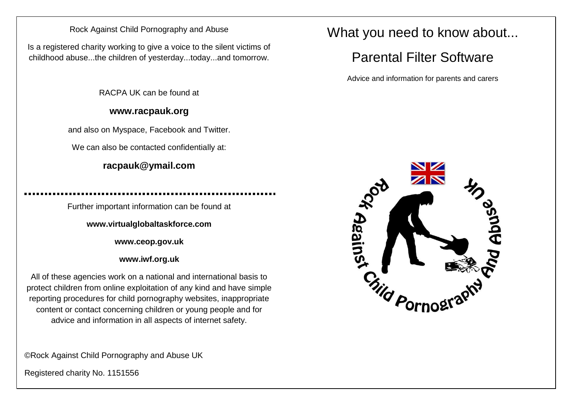### Rock Against Child Pornography and Abuse

Is a registered charity working to give a voice to the silent victims of childhood abuse...the children of yesterday...today...and tomorrow.

RACPA UK can be found at

### **www.racpauk.org**

and also on Myspace, Facebook and Twitter.

We can also be contacted confidentially at:

## **racpauk@ymail.com**

Further important information can be found at

**www.virtualglobaltaskforce.com**

**www.ceop.gov.uk**

**www.iwf.org.uk**

All of these agencies work on a national and international basis to protect children from online exploitation of any kind and have simple reporting procedures for child pornography websites, inappropriate content or contact concerning children or young people and for advice and information in all aspects of internet safety.

©Rock Against Child Pornography and Abuse UK

Registered charity No. 1151556

## What you need to know about...

# Parental Filter Software

Advice and information for parents and carers